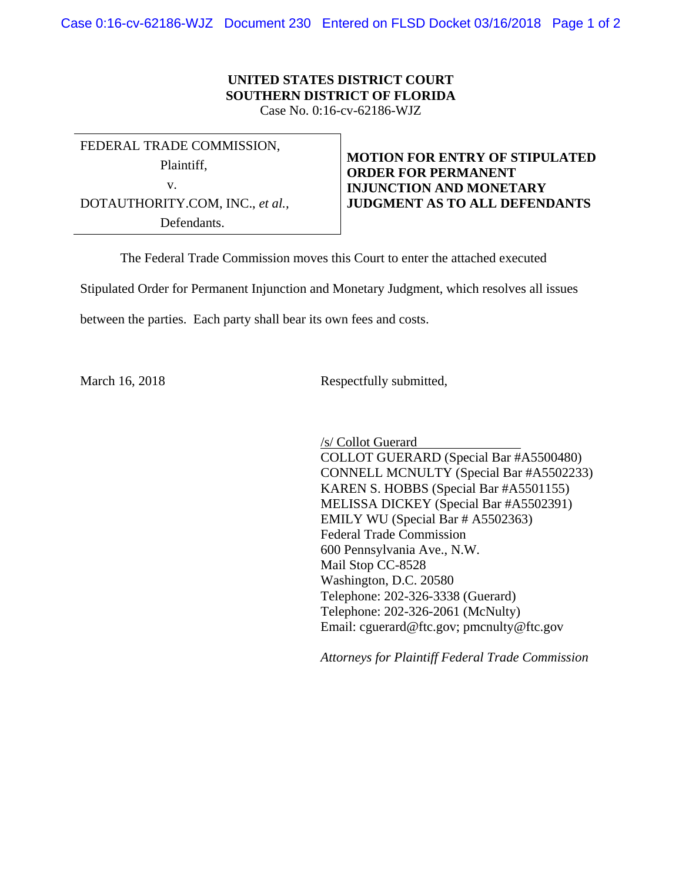Case 0:16-cv-62186-WJZ Document 230 Entered on FLSD Docket 03/16/2018 Page 1 of 2

## **UNITED STATES DISTRICT COURT SOUTHERN DISTRICT OF FLORIDA**

Case No. 0:16-cv-62186-WJZ

FEDERAL TRADE COMMISSION,

Plaintiff,

v.

DOTAUTHORITY.COM, INC., *et al.,* Defendants.

**MOTION FOR ENTRY OF STIPULATED ORDER FOR PERMANENT INJUNCTION AND MONETARY JUDGMENT AS TO ALL DEFENDANTS** 

The Federal Trade Commission moves this Court to enter the attached executed

Stipulated Order for Permanent Injunction and Monetary Judgment, which resolves all issues

between the parties. Each party shall bear its own fees and costs.

March 16, 2018 Respectfully submitted,

 $\overline{a}$ /s/ Collot Guerard COLLOT GUERARD (Special Bar #A5500480) CONNELL MCNULTY (Special Bar #A5502233) KAREN S. HOBBS (Special Bar #A5501155) MELISSA DICKEY (Special Bar #A5502391) EMILY WU (Special Bar # A5502363) Federal Trade Commission 600 Pennsylvania Ave., N.W. Mail Stop CC-8528 Washington, D.C. 20580 Telephone: 202-326-3338 (Guerard)

*Attorneys for Plaintiff Federal Trade Commission* 

Email: cguerard@ftc.gov; pmcnulty@ftc.gov

Telephone: 202-326-2061 (McNulty)